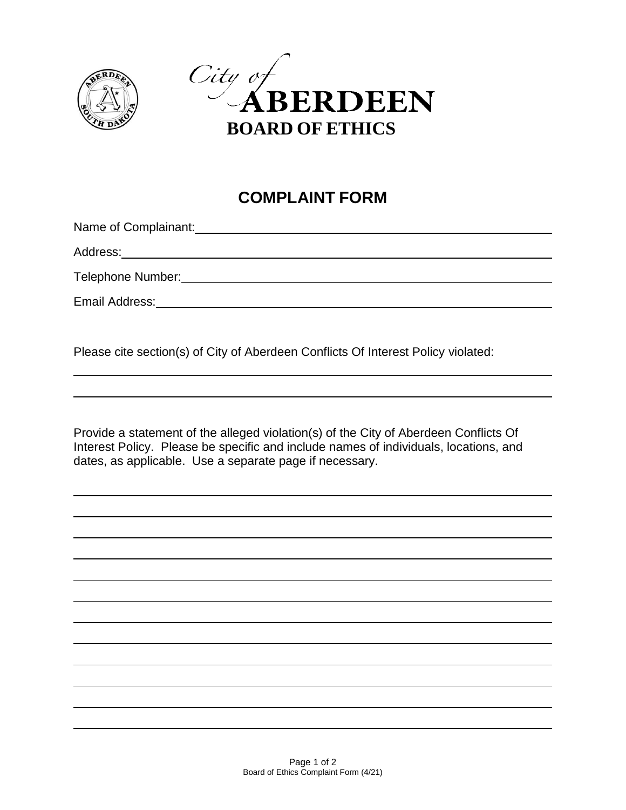



## **COMPLAINT FORM**

Name of Complainant:<br>
Name of Complainant:

Address:

 $\overline{a}$ 

Telephone Number:

Email Address:

Please cite section(s) of City of Aberdeen Conflicts Of Interest Policy violated:

Provide a statement of the alleged violation(s) of the City of Aberdeen Conflicts Of Interest Policy. Please be specific and include names of individuals, locations, and dates, as applicable. Use a separate page if necessary.

 $\overline{a}$